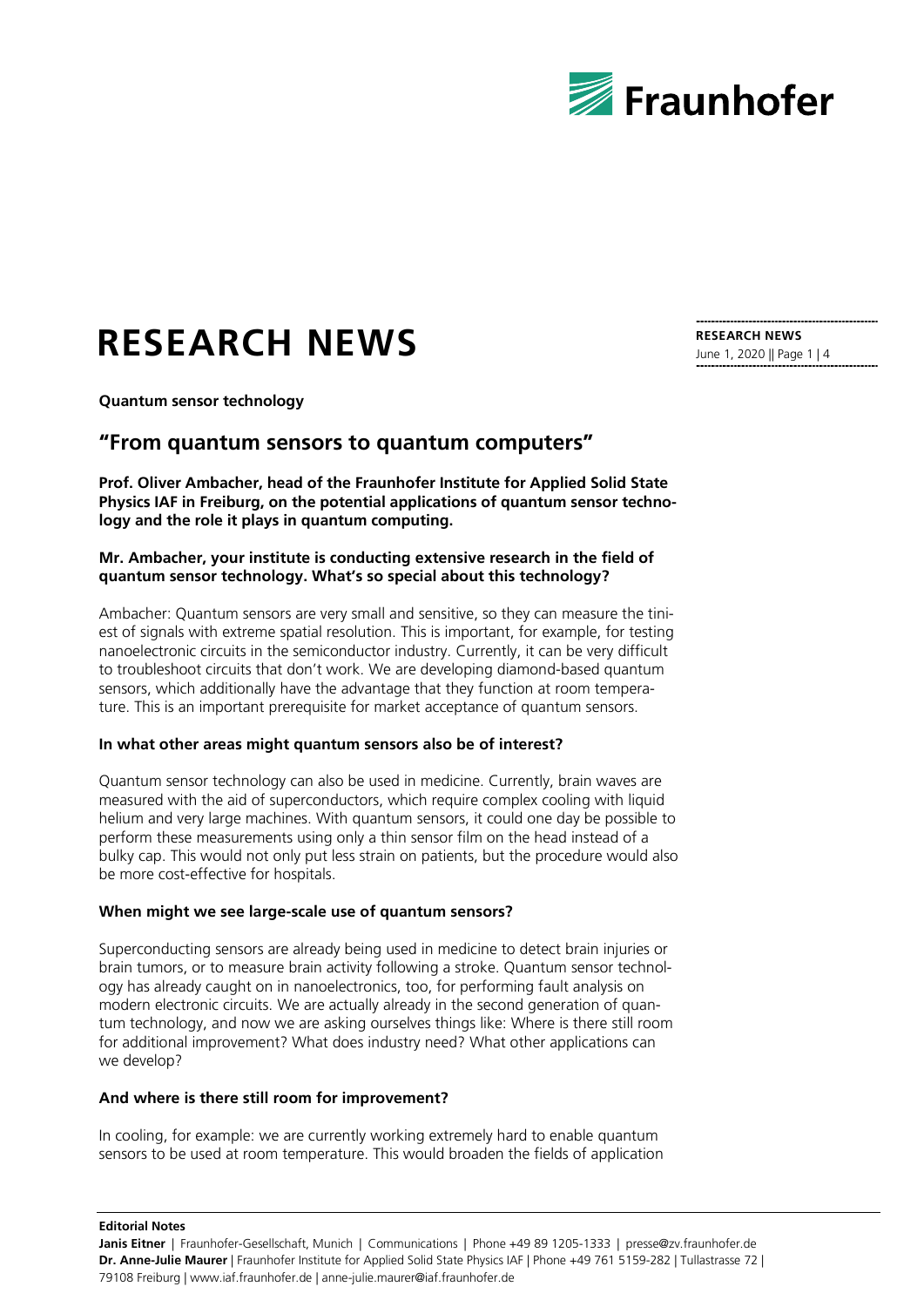

# **RESEARCH NEWS**

**Quantum sensor technology**

### **"From quantum sensors to quantum computers"**

**Prof. Oliver Ambacher, head of the Fraunhofer Institute for Applied Solid State Physics IAF in Freiburg, on the potential applications of quantum sensor technology and the role it plays in quantum computing.**

#### **Mr. Ambacher, your institute is conducting extensive research in the field of quantum sensor technology. What's so special about this technology?**

Ambacher: Quantum sensors are very small and sensitive, so they can measure the tiniest of signals with extreme spatial resolution. This is important, for example, for testing nanoelectronic circuits in the semiconductor industry. Currently, it can be very difficult to troubleshoot circuits that don't work. We are developing diamond-based quantum sensors, which additionally have the advantage that they function at room temperature. This is an important prerequisite for market acceptance of quantum sensors.

#### **In what other areas might quantum sensors also be of interest?**

Quantum sensor technology can also be used in medicine. Currently, brain waves are measured with the aid of superconductors, which require complex cooling with liquid helium and very large machines. With quantum sensors, it could one day be possible to perform these measurements using only a thin sensor film on the head instead of a bulky cap. This would not only put less strain on patients, but the procedure would also be more cost-effective for hospitals.

#### **When might we see large-scale use of quantum sensors?**

Superconducting sensors are already being used in medicine to detect brain injuries or brain tumors, or to measure brain activity following a stroke. Quantum sensor technology has already caught on in nanoelectronics, too, for performing fault analysis on modern electronic circuits. We are actually already in the second generation of quantum technology, and now we are asking ourselves things like: Where is there still room for additional improvement? What does industry need? What other applications can we develop?

#### **And where is there still room for improvement?**

In cooling, for example: we are currently working extremely hard to enable quantum sensors to be used at room temperature. This would broaden the fields of application

June 1, 2020 || Page 1 | 4

**RESEARCH NEWS**

**Editorial Notes**

**Janis Eitner** | Fraunhofer-Gesellschaft, Munich | Communications | Phone +49 89 1205-1333 | presse@zv.fraunhofer.de **Dr. Anne-Julie Maurer** | Fraunhofer Institute for Applied Solid State Physics IAF | Phone +49 761 5159-282 | Tullastrasse 72 | 79108 Freiburg | www.iaf.fraunhofer.de | anne-julie.maurer@iaf.fraunhofer.de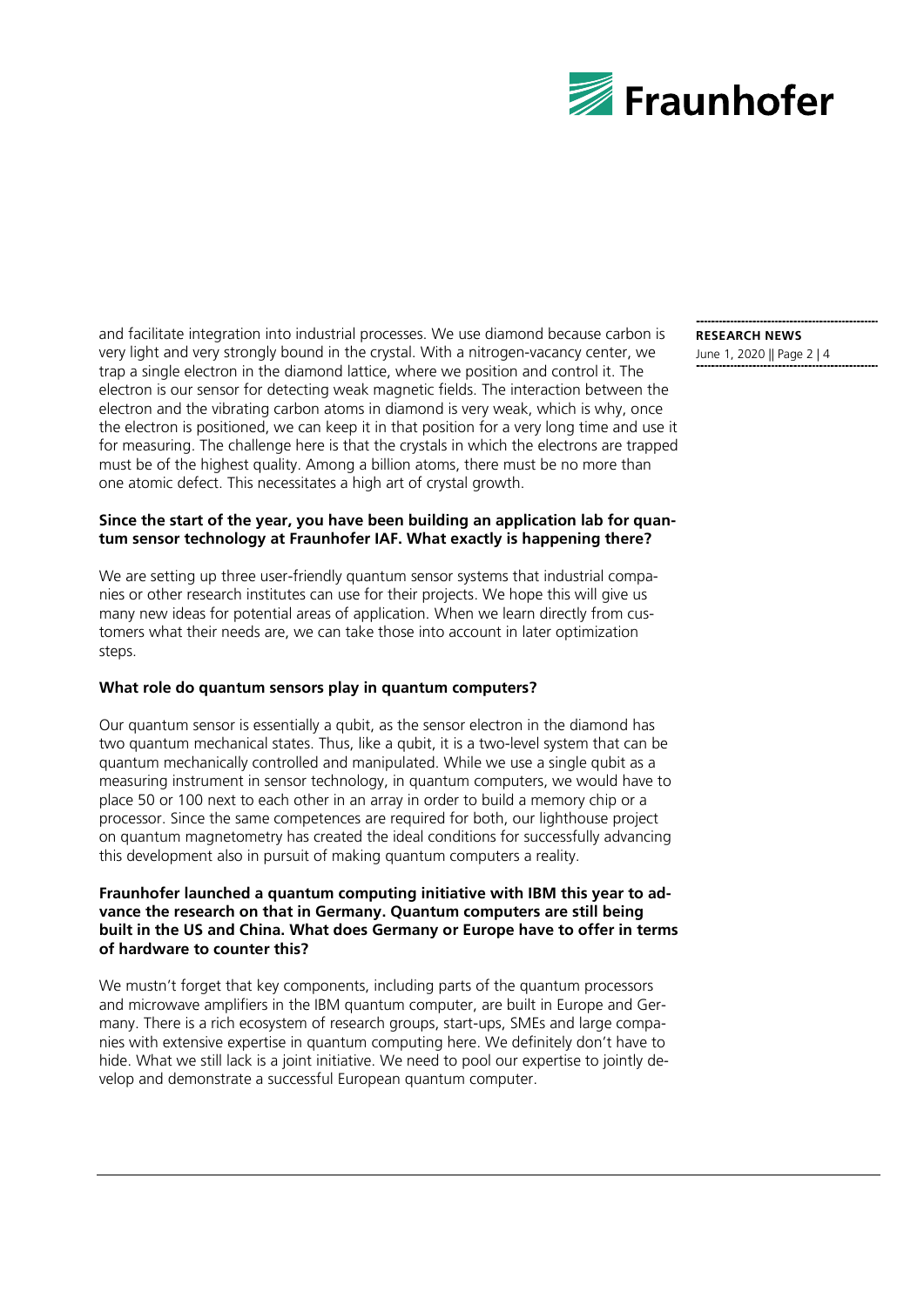

and facilitate integration into industrial processes. We use diamond because carbon is very light and very strongly bound in the crystal. With a nitrogen-vacancy center, we trap a single electron in the diamond lattice, where we position and control it. The electron is our sensor for detecting weak magnetic fields. The interaction between the electron and the vibrating carbon atoms in diamond is very weak, which is why, once the electron is positioned, we can keep it in that position for a very long time and use it for measuring. The challenge here is that the crystals in which the electrons are trapped must be of the highest quality. Among a billion atoms, there must be no more than one atomic defect. This necessitates a high art of crystal growth.

#### **Since the start of the year, you have been building an application lab for quantum sensor technology at Fraunhofer IAF. What exactly is happening there?**

We are setting up three user-friendly quantum sensor systems that industrial companies or other research institutes can use for their projects. We hope this will give us many new ideas for potential areas of application. When we learn directly from customers what their needs are, we can take those into account in later optimization steps.

#### **What role do quantum sensors play in quantum computers?**

Our quantum sensor is essentially a qubit, as the sensor electron in the diamond has two quantum mechanical states. Thus, like a qubit, it is a two-level system that can be quantum mechanically controlled and manipulated. While we use a single qubit as a measuring instrument in sensor technology, in quantum computers, we would have to place 50 or 100 next to each other in an array in order to build a memory chip or a processor. Since the same competences are required for both, our lighthouse project on quantum magnetometry has created the ideal conditions for successfully advancing this development also in pursuit of making quantum computers a reality.

#### **Fraunhofer launched a quantum computing initiative with IBM this year to advance the research on that in Germany. Quantum computers are still being built in the US and China. What does Germany or Europe have to offer in terms of hardware to counter this?**

We mustn't forget that key components, including parts of the quantum processors and microwave amplifiers in the IBM quantum computer, are built in Europe and Germany. There is a rich ecosystem of research groups, start-ups, SMEs and large companies with extensive expertise in quantum computing here. We definitely don't have to hide. What we still lack is a joint initiative. We need to pool our expertise to jointly develop and demonstrate a successful European quantum computer.

## **RESEARCH NEWS**

June 1, 2020 || Page 2 | 4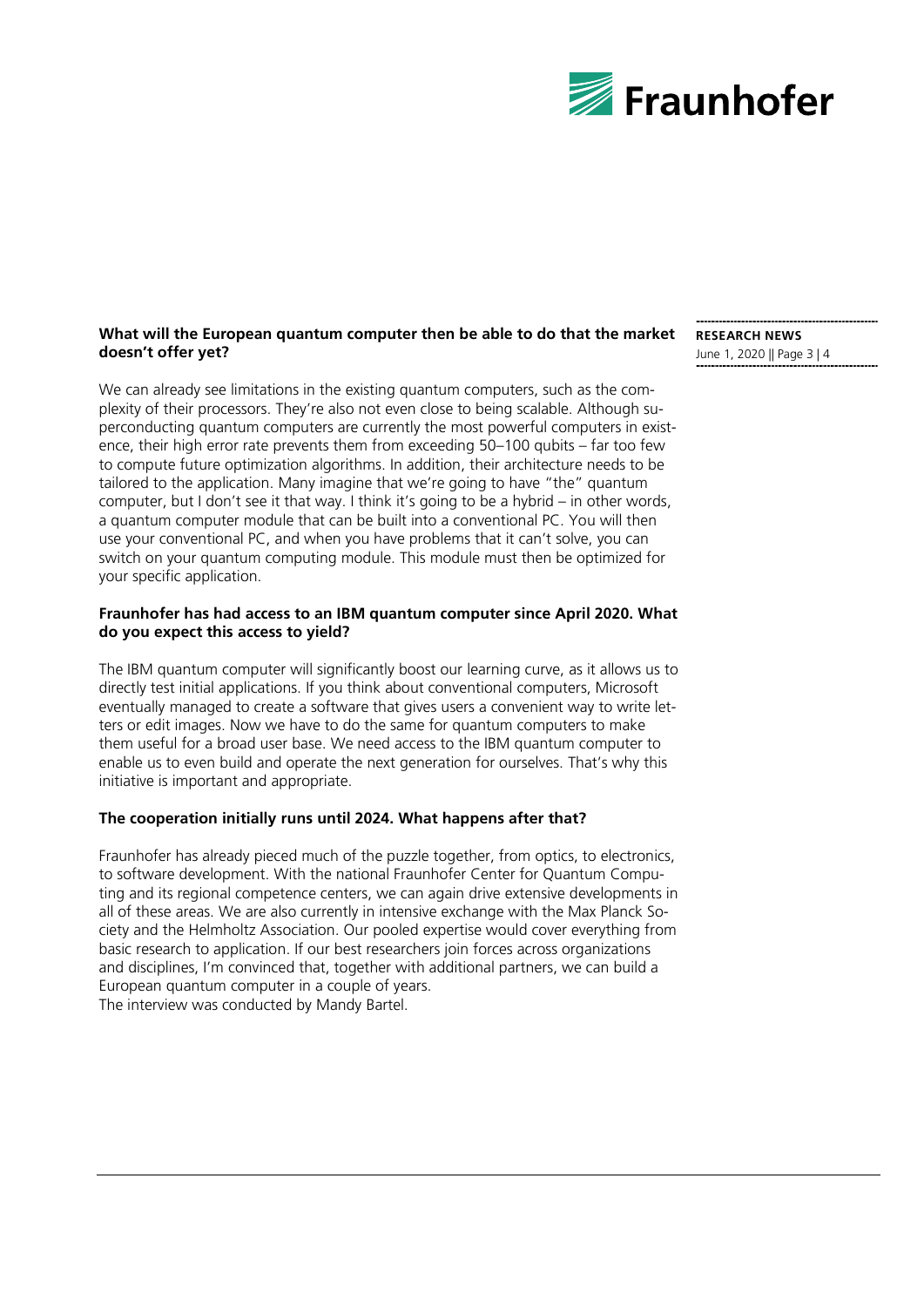

#### **What will the European quantum computer then be able to do that the market**  $\;$  **research news doesn't offer yet?**

We can already see limitations in the existing quantum computers, such as the complexity of their processors. They're also not even close to being scalable. Although superconducting quantum computers are currently the most powerful computers in existence, their high error rate prevents them from exceeding 50–100 qubits – far too few to compute future optimization algorithms. In addition, their architecture needs to be tailored to the application. Many imagine that we're going to have "the" quantum computer, but I don't see it that way. I think it's going to be a hybrid – in other words, a quantum computer module that can be built into a conventional PC. You will then use your conventional PC, and when you have problems that it can't solve, you can switch on your quantum computing module. This module must then be optimized for your specific application.

#### **Fraunhofer has had access to an IBM quantum computer since April 2020. What do you expect this access to yield?**

The IBM quantum computer will significantly boost our learning curve, as it allows us to directly test initial applications. If you think about conventional computers, Microsoft eventually managed to create a software that gives users a convenient way to write letters or edit images. Now we have to do the same for quantum computers to make them useful for a broad user base. We need access to the IBM quantum computer to enable us to even build and operate the next generation for ourselves. That's why this initiative is important and appropriate.

#### **The cooperation initially runs until 2024. What happens after that?**

Fraunhofer has already pieced much of the puzzle together, from optics, to electronics, to software development. With the national Fraunhofer Center for Quantum Computing and its regional competence centers, we can again drive extensive developments in all of these areas. We are also currently in intensive exchange with the Max Planck Society and the Helmholtz Association. Our pooled expertise would cover everything from basic research to application. If our best researchers join forces across organizations and disciplines, I'm convinced that, together with additional partners, we can build a European quantum computer in a couple of years.

The interview was conducted by Mandy Bartel.

June 1, 2020 || Page 3 | 4